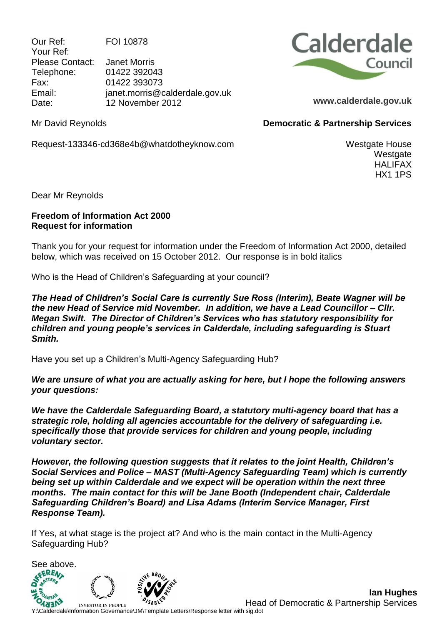Our Ref: FOI 10878 Your Ref: Please Contact: Janet Morris Telephone: 01422 392043 Fax: 01422 393073 Email: janet.morris@calderdale.gov.uk Date: 12 November 2012



**Democratic & Partnership Services**

**www.calderdale.gov.uk**

Mr David Reynolds

Request-133346-cd368e4b@whatdotheyknow.com

Westgate House Westgate HALIFAX HX1 1PS

Dear Mr Reynolds

## **Freedom of Information Act 2000 Request for information**

Thank you for your request for information under the Freedom of Information Act 2000, detailed below, which was received on 15 October 2012. Our response is in bold italics

Who is the Head of Children's Safeguarding at your council?

*The Head of Children's Social Care is currently Sue Ross (Interim), Beate Wagner will be the new Head of Service mid November. In addition, we have a Lead Councillor – Cllr. Megan Swift. The Director of Children's Services who has statutory responsibility for children and young people's services in Calderdale, including safeguarding is Stuart Smith.*

Have you set up a Children's Multi-Agency Safeguarding Hub?

*We are unsure of what you are actually asking for here, but I hope the following answers your questions:*

*We have the Calderdale Safeguarding Board, a statutory multi-agency board that has a strategic role, holding all agencies accountable for the delivery of safeguarding i.e. specifically those that provide services for children and young people, including voluntary sector.*

*However, the following question suggests that it relates to the joint Health, Children's Social Services and Police – MAST (Multi-Agency Safeguarding Team) which is currently being set up within Calderdale and we expect will be operation within the next three months. The main contact for this will be Jane Booth (Independent chair, Calderdale Safeguarding Children's Board) and Lisa Adams (Interim Service Manager, First Response Team).*

If Yes, at what stage is the project at? And who is the main contact in the Multi-Agency Safeguarding Hub?

See above. **INVESTOR IN PEOPLE** 

**Ian Hughes** Head of Democratic & Partnership Services

**YSABLARET CONTROLL STANDER SEARCH STANDER HEADER**<br>Y:\Calderdale\Information Governance\JM\Template Letters\Response letter with sig.dot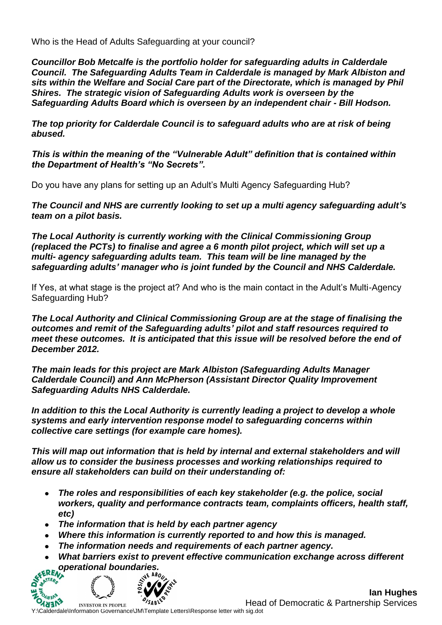Who is the Head of Adults Safeguarding at your council?

*Councillor Bob Metcalfe is the portfolio holder for safeguarding adults in Calderdale Council. The Safeguarding Adults Team in Calderdale is managed by Mark Albiston and sits within the Welfare and Social Care part of the Directorate, which is managed by Phil Shires. The strategic vision of Safeguarding Adults work is overseen by the Safeguarding Adults Board which is overseen by an independent chair - Bill Hodson.*

*The top priority for Calderdale Council is to safeguard adults who are at risk of being abused.*

*This is within the meaning of the "Vulnerable Adult" definition that is contained within the Department of Health's "No Secrets".* 

Do you have any plans for setting up an Adult's Multi Agency Safeguarding Hub?

*The Council and NHS are currently looking to set up a multi agency safeguarding adult's team on a pilot basis.*

*The Local Authority is currently working with the Clinical Commissioning Group (replaced the PCTs) to finalise and agree a 6 month pilot project, which will set up a multi- agency safeguarding adults team. This team will be line managed by the safeguarding adults' manager who is joint funded by the Council and NHS Calderdale.* 

If Yes, at what stage is the project at? And who is the main contact in the Adult's Multi-Agency Safeguarding Hub?

*The Local Authority and Clinical Commissioning Group are at the stage of finalising the outcomes and remit of the Safeguarding adults' pilot and staff resources required to meet these outcomes. It is anticipated that this issue will be resolved before the end of December 2012.* 

*The main leads for this project are Mark Albiston (Safeguarding Adults Manager Calderdale Council) and Ann McPherson (Assistant Director Quality Improvement Safeguarding Adults NHS Calderdale.*

*In addition to this the Local Authority is currently leading a project to develop a whole systems and early intervention response model to safeguarding concerns within collective care settings (for example care homes).*

*This will map out information that is held by internal and external stakeholders and will allow us to consider the business processes and working relationships required to ensure all stakeholders can build on their understanding of:*

- *The roles and responsibilities of each key stakeholder (e.g. the police, social workers, quality and performance contracts team, complaints officers, health staff, etc)*
- *The information that is held by each partner agency*
- *Where this information is currently reported to and how this is managed.*
- *The information needs and requirements of each partner agency.*
- *What barriers exist to prevent effective communication exchange across different operational boundaries.*



**Ian Hughes** Head of Democratic & Partnership Services

**YESTOR IN PEOPLE**<br>Y:\Calderdale\Information Governance\JM\Template Letters\Response letter with sig.dot